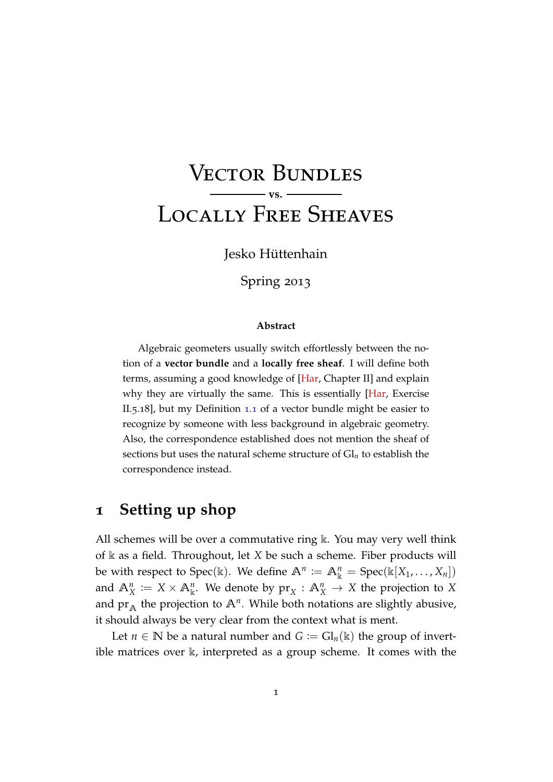# Vector Bundles **vs.** Locally Free Sheaves

Jesko Hüttenhain

Spring 2013

#### **Abstract**

Algebraic geometers usually switch effortlessly between the notion of a **vector bundle** and a **locally free sheaf**. I will define both terms, assuming a good knowledge of [\[Har,](#page-4-0) Chapter II] and explain why they are virtually the same. This is essentially [\[Har,](#page-4-0) Exercise II.5.18], but my Definition [1](#page-1-0).1 of a vector bundle might be easier to recognize by someone with less background in algebraic geometry. Also, the correspondence established does not mention the sheaf of sections but uses the natural scheme structure of  $Gl_n$  to establish the correspondence instead.

#### **1 Setting up shop**

All schemes will be over a commutative ring  $\Bbbk$ . You may very well think of k as a field. Throughout, let *X* be such a scheme. Fiber products will be with respect to Spec(k). We define  $\mathbb{A}^n := \mathbb{A}^n_k = \text{Spec}(\mathbb{k}[X_1,\ldots,X_n])$ and  $\mathbb{A}_{X}^{n} := X \times \mathbb{A}_{\mathbb{k}}^{n}$ . We denote by  $\text{pr}_{X} : \mathbb{A}_{X}^{n} \to X$  the projection to X and  $pr_A$  the projection to  $A^n$ . While both notations are slightly abusive, it should always be very clear from the context what is ment.

Let  $n \in \mathbb{N}$  be a natural number and  $G := Gl_n(\mathbb{k})$  the group of invertible matrices over k, interpreted as a group scheme. It comes with the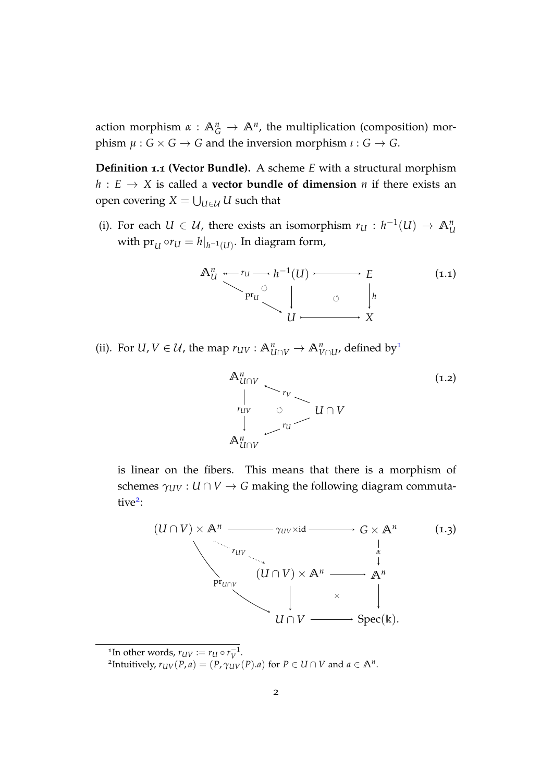<span id="page-1-0"></span>action morphism  $\alpha$  :  $\mathbb{A}^n_G \to \mathbb{A}^n$ , the multiplication (composition) morphism  $\mu$  :  $G \times G \rightarrow G$  and the inversion morphism  $\iota$  :  $G \rightarrow G$ .

**Definition 1.1 (Vector Bundle).** A scheme *E* with a structural morphism  $h: E \to X$  is called a **vector bundle of dimension** *n* if there exists an open covering  $X = \bigcup_{U \in \mathcal{U}} U$  such that

(i). For each  $U \in \mathcal{U}$ , there exists an isomorphism  $r_U : h^{-1}(U) \to \mathbb{A}^n_U$ with  $\mathrm{pr}_{U} \circ r_{U} = h|_{h^{-1}(U)}.$  In diagram form,

$$
\mathbb{A}_{U}^{n} \xrightarrow{\cdot} r_{U} \longrightarrow h^{-1}(U) \longrightarrow E
$$
\n
$$
\downarrow \qquad \qquad \downarrow \qquad \qquad \downarrow \qquad \qquad \downarrow
$$
\n
$$
\downarrow \qquad \qquad \downarrow \qquad \qquad \downarrow
$$
\n
$$
\downarrow \qquad \qquad \downarrow \qquad \qquad \downarrow
$$
\n
$$
\downarrow \qquad \qquad \downarrow \qquad \qquad \downarrow
$$
\n
$$
\downarrow \qquad \qquad \downarrow \qquad \qquad \downarrow
$$
\n
$$
\downarrow \qquad \qquad \downarrow \qquad \qquad \downarrow
$$
\n
$$
\downarrow \qquad \qquad \downarrow \qquad \qquad \downarrow
$$
\n
$$
\downarrow \qquad \qquad \downarrow \qquad \qquad \downarrow
$$
\n
$$
\downarrow \qquad \qquad \downarrow \qquad \qquad \downarrow
$$
\n
$$
\downarrow \qquad \qquad \downarrow \qquad \qquad \downarrow
$$
\n
$$
\downarrow \qquad \qquad \downarrow \qquad \qquad \downarrow
$$
\n
$$
\downarrow \qquad \qquad \downarrow \qquad \qquad \downarrow
$$
\n
$$
\downarrow \qquad \qquad \downarrow \qquad \qquad \downarrow
$$
\n
$$
\downarrow \qquad \qquad \downarrow \qquad \qquad \downarrow
$$
\n
$$
\downarrow \qquad \qquad \downarrow \qquad \qquad \downarrow
$$
\n
$$
\downarrow \qquad \qquad \downarrow \qquad \qquad \downarrow \qquad \qquad \downarrow
$$
\n
$$
\downarrow \qquad \qquad \downarrow \qquad \qquad \downarrow \qquad \qquad \downarrow \qquad \qquad \downarrow
$$
\n
$$
\downarrow \qquad \qquad \downarrow \qquad \qquad \downarrow \qquad \qquad \downarrow \qquad \qquad \downarrow \qquad \downarrow \qquad \qquad \downarrow \qquad \downarrow \qquad \qquad \downarrow \qquad \downarrow \qquad \downarrow \qquad \downarrow \qquad \downarrow \qquad \downarrow \qquad \downarrow \qquad \downarrow \qquad \downarrow \qquad \downarrow \qquad \downarrow \qquad \downarrow \qquad \downarrow \qquad \downarrow \qquad \downarrow \qquad \downarrow \qquad \downarrow \qquad \downarrow \q
$$

(ii). For  $U, V \in \mathcal{U}$ , the map  $r_{UV}: \mathbb{A}^n_{U \cap V} \to \mathbb{A}^n_{V \cap U}$ , defined by<sup>1</sup>



is linear on the fibers. This means that there is a morphism of schemes  $\gamma_{UV}$  :  $U \cap V \to G$  making the following diagram commutative<sup>2</sup>:



<sup>1</sup>In other words,  $r_{UV} := r_U \circ r_V^{-1}$ .<br><sup>2</sup>Intuitively,  $r_{UV}(P, a) = (P, \gamma_{UV}(P).a)$  for  $P \in U \cap V$  and  $a \in \mathbb{A}^n$ .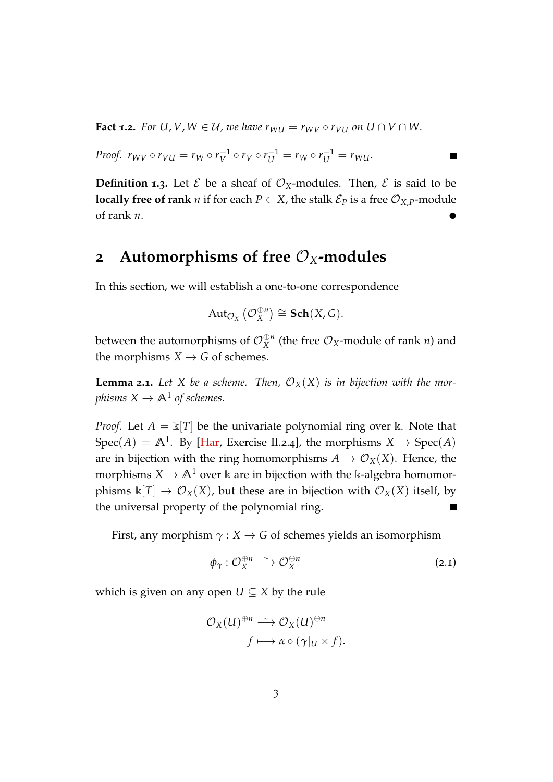<span id="page-2-0"></span>**Fact 1.2.** For  $U, V, W \in \mathcal{U}$ , we have  $r_{WU} = r_{WV} \circ r_{VU}$  on  $U \cap V \cap W$ .

*Proof.* 
$$
r_{WV} \circ r_{VU} = r_W \circ r_V^{-1} \circ r_V \circ r_U^{-1} = r_W \circ r_U^{-1} = r_{WU}.
$$

**Definition 1.3.** Let  $\mathcal{E}$  be a sheaf of  $\mathcal{O}_X$ -modules. Then,  $\mathcal{E}$  is said to be **locally free of rank** *n* if for each  $P \in X$ , the stalk  $\mathcal{E}_P$  is a free  $\mathcal{O}_{X,P}$ -module of rank *n*.

 $\blacksquare$ 

### **2 Automorphisms of free**  $\mathcal{O}_X$ -modules

In this section, we will establish a one-to-one correspondence

$$
\mathrm{Aut}_{\mathcal{O}_X}\left(\mathcal{O}_X^{\oplus n}\right) \cong \mathbf{Sch}(X,G).
$$

between the automorphisms of  $\mathcal{O}_X^{\oplus n}$  (the free  $\mathcal{O}_X\text{-module}$  of rank *n*) and the morphisms  $X \rightarrow G$  of schemes.

**Lemma 2.1.** Let X be a scheme. Then,  $\mathcal{O}_X(X)$  is in bijection with the mor*phisms*  $X \to \mathbb{A}^1$  *of schemes.* 

*Proof.* Let  $A = \mathbb{K}[T]$  be the univariate polynomial ring over k. Note that  $Spec(A) = A<sup>1</sup>$ . By [\[Har,](#page-4-0) Exercise II.2.4], the morphisms  $X \to Spec(A)$ are in bijection with the ring homomorphisms  $A \to \mathcal{O}_X(X)$ . Hence, the morphisms  $X \to \mathbb{A}^1$  over  $\Bbbk$  are in bijection with the  $\Bbbk$ -algebra homomorphisms  $\Bbbk[T] \to \mathcal{O}_X(X)$ , but these are in bijection with  $\mathcal{O}_X(X)$  itself, by the universal property of the polynomial ring. Б

First, any morphism  $\gamma$  : *X*  $\rightarrow$  *G* of schemes yields an isomorphism

$$
\phi_{\gamma}: \mathcal{O}_{X}^{\oplus n} \longrightarrow \mathcal{O}_{X}^{\oplus n} \tag{2.1}
$$

which is given on any open  $U \subseteq X$  by the rule

$$
\mathcal{O}_X(U)^{\oplus n} \xrightarrow{\sim} \mathcal{O}_X(U)^{\oplus n}
$$

$$
f \longmapsto \alpha \circ (\gamma|_U \times f).
$$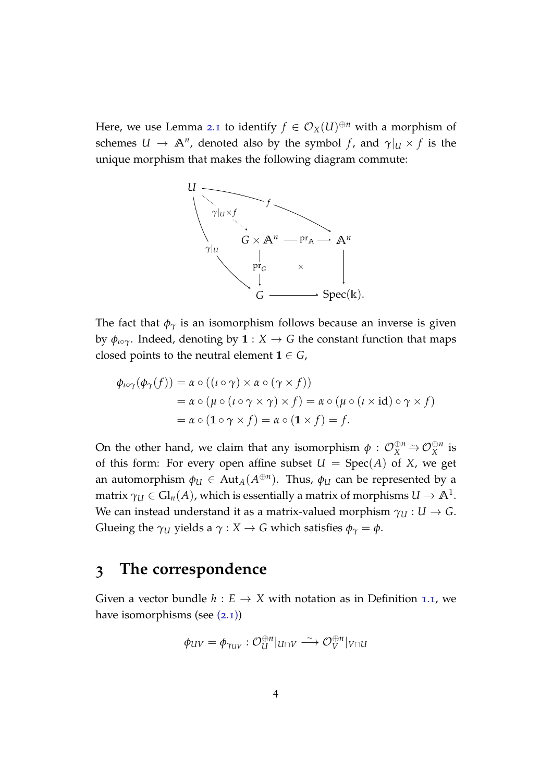Here, we use Lemma [2](#page-2-0).1 to identify  $f \in \mathcal{O}_X(U)^{\oplus n}$  with a morphism of schemes  $U \to \mathbb{A}^n$ , denoted also by the symbol *f*, and  $\gamma|_U \times f$  is the unique morphism that makes the following diagram commute:



The fact that  $\phi_{\gamma}$  is an isomorphism follows because an inverse is given by  $\phi_{\mu\circ\gamma}$ . Indeed, denoting by  $\mathbf{1}: X \to G$  the constant function that maps closed points to the neutral element  $1 \in G$ ,

$$
\begin{aligned} \phi_{\iota\circ\gamma}(\phi_{\gamma}(f)) &= \alpha \circ ((\iota \circ \gamma) \times \alpha \circ (\gamma \times f)) \\ &= \alpha \circ (\mu \circ (\iota \circ \gamma \times \gamma) \times f) = \alpha \circ (\mu \circ (\iota \times \text{id}) \circ \gamma \times f) \\ &= \alpha \circ (\mathbf{1} \circ \gamma \times f) = \alpha \circ (\mathbf{1} \times f) = f. \end{aligned}
$$

On the other hand, we claim that any isomorphism  $\phi$  :  $\mathcal{O}_X^{\oplus n} \to \mathcal{O}_X^{\oplus n}$  is of this form: For every open affine subset  $U = Spec(A)$  of *X*, we get an automorphism  $\phi_U \in \operatorname{Aut}_A(A^{\oplus n})$ . Thus,  $\phi_U$  can be represented by a matrix  $\gamma_{U} \in \mathrm{Gl}_n(A)$ , which is essentially a matrix of morphisms  $U \to \mathbb{A}^1.$ We can instead understand it as a matrix-valued morphism  $\gamma_U : U \to G$ . Glueing the  $\gamma$ *U* yields a  $\gamma$  : *X*  $\rightarrow$  *G* which satisfies  $\phi$ <sub> $\gamma$ </sub> =  $\phi$ .

## **3 The correspondence**

Given a vector bundle  $h : E \to X$  with notation as in Definition [1](#page-1-0).1, we have isomorphisms (see  $(2.1)$ )

$$
\phi_{UV} = \phi_{\gamma_{UV}} : \mathcal{O}_U^{\oplus n}|_{U \cap V} \xrightarrow{\sim} \mathcal{O}_V^{\oplus n}|_{V \cap U}
$$